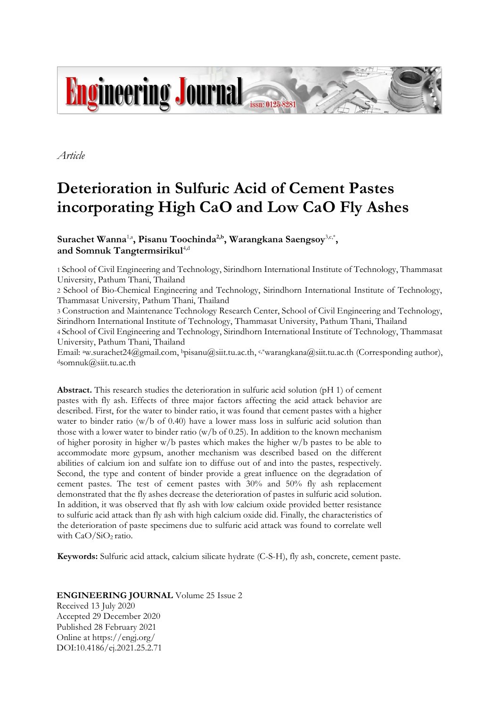

*Article*

# **Deterioration in Sulfuric Acid of Cement Pastes incorporating High CaO and Low CaO Fly Ashes**

 $\textbf{Surachet Wanna}^{1, a}, \textbf{Pisanu Toochinda}^{2, b}, \textbf{Warangkana Saengsoy}^{3, c, *},$ and Somnuk Tangtermsirikul<sup>4,d</sup>

1 School of Civil Engineering and Technology, Sirindhorn International Institute of Technology, Thammasat University, Pathum Thani, Thailand

2 School of Bio-Chemical Engineering and Technology, Sirindhorn International Institute of Technology, Thammasat University, Pathum Thani, Thailand

3 Construction and Maintenance Technology Research Center, School of Civil Engineering and Technology, Sirindhorn International Institute of Technology, Thammasat University, Pathum Thani, Thailand

4 School of Civil Engineering and Technology, Sirindhorn International Institute of Technology, Thammasat University, Pathum Thani, Thailand

Email: <sup>a</sup>[w.surachet24@gmail.com,](mailto:aw.surachet24@gmail.com) b[pisanu@siit.tu.ac.th,](mailto:bpisanu@siit.tu.ac.th) c,\*[warangkana@siit.tu.ac.th](mailto:warangkana@siit.tu.ac.th) (Corresponding author), <sup>d</sup>somnuk@siit.tu.ac.th

**Abstract.** This research studies the deterioration in sulfuric acid solution (pH 1) of cement pastes with fly ash. Effects of three major factors affecting the acid attack behavior are described. First, for the water to binder ratio, it was found that cement pastes with a higher water to binder ratio (w/b of 0.40) have a lower mass loss in sulfuric acid solution than those with a lower water to binder ratio (w/b of 0.25). In addition to the known mechanism of higher porosity in higher w/b pastes which makes the higher w/b pastes to be able to accommodate more gypsum, another mechanism was described based on the different abilities of calcium ion and sulfate ion to diffuse out of and into the pastes, respectively. Second, the type and content of binder provide a great influence on the degradation of cement pastes. The test of cement pastes with 30% and 50% fly ash replacement demonstrated that the fly ashes decrease the deterioration of pastes in sulfuric acid solution. In addition, it was observed that fly ash with low calcium oxide provided better resistance to sulfuric acid attack than fly ash with high calcium oxide did. Finally, the characteristics of the deterioration of paste specimens due to sulfuric acid attack was found to correlate well with  $CaO/SiO<sub>2</sub>$  ratio.

**Keywords:** Sulfuric acid attack, calcium silicate hydrate (C-S-H), fly ash, concrete, cement paste.

**ENGINEERING JOURNAL** Volume 25 Issue 2 Received 13 July 2020 Accepted 29 December 2020 Published 28 February 2021 Online at https://engj.org/ DOI:10.4186/ej.2021.25.2.71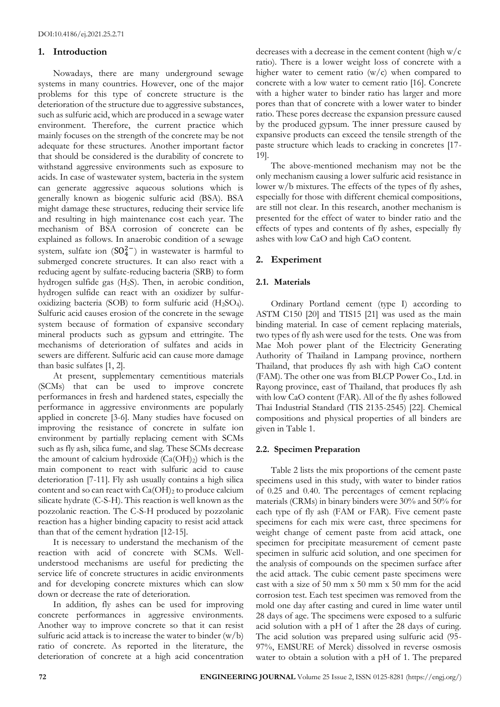### **1. Introduction**

Nowadays, there are many underground sewage systems in many countries. However, one of the major problems for this type of concrete structure is the deterioration of the structure due to aggressive substances, such as sulfuric acid, which are produced in a sewage water environment. Therefore, the current practice which mainly focuses on the strength of the concrete may be not adequate for these structures. Another important factor that should be considered is the durability of concrete to withstand aggressive environments such as exposure to acids. In case of wastewater system, bacteria in the system can generate aggressive aqueous solutions which is generally known as biogenic sulfuric acid (BSA). BSA might damage these structures, reducing their service life and resulting in high maintenance cost each year. The mechanism of BSA corrosion of concrete can be explained as follows. In anaerobic condition of a sewage system, sulfate ion  $(SO_4^{2-})$  in wastewater is harmful to submerged concrete structures. It can also react with a reducing agent by sulfate-reducing bacteria (SRB) to form hydrogen sulfide gas (H2S). Then, in aerobic condition, hydrogen sulfide can react with an oxidizer by sulfuroxidizing bacteria (SOB) to form sulfuric acid  $(H_2SO_4)$ . Sulfuric acid causes erosion of the concrete in the sewage system because of formation of expansive secondary mineral products such as gypsum and ettringite. The mechanisms of deterioration of sulfates and acids in sewers are different. Sulfuric acid can cause more damage than basic sulfates [1, 2].

At present, supplementary cementitious materials (SCMs) that can be used to improve concrete performances in fresh and hardened states, especially the performance in aggressive environments are popularly applied in concrete [3-6]. Many studies have focused on improving the resistance of concrete in sulfate ion environment by partially replacing cement with SCMs such as fly ash, silica fume, and slag. These SCMs decrease the amount of calcium hydroxide  $(Ca(OH)_2)$  which is the main component to react with sulfuric acid to cause deterioration [7-11]. Fly ash usually contains a high silica content and so can react with  $Ca(OH)_2$  to produce calcium silicate hydrate (C-S-H). This reaction is well known as the pozzolanic reaction. The C-S-H produced by pozzolanic reaction has a higher binding capacity to resist acid attack than that of the cement hydration [12-15].

It is necessary to understand the mechanism of the reaction with acid of concrete with SCMs. Wellunderstood mechanisms are useful for predicting the service life of concrete structures in acidic environments and for developing concrete mixtures which can slow down or decrease the rate of deterioration.

In addition, fly ashes can be used for improving concrete performances in aggressive environments. Another way to improve concrete so that it can resist sulfuric acid attack is to increase the water to binder  $(w/b)$ ratio of concrete. As reported in the literature, the deterioration of concrete at a high acid concentration

decreases with a decrease in the cement content (high w/c ratio). There is a lower weight loss of concrete with a higher water to cement ratio  $(w/c)$  when compared to concrete with a low water to cement ratio [16]. Concrete with a higher water to binder ratio has larger and more pores than that of concrete with a lower water to binder ratio. These pores decrease the expansion pressure caused by the produced gypsum. The inner pressure caused by expansive products can exceed the tensile strength of the paste structure which leads to cracking in concretes [17- 19].

The above-mentioned mechanism may not be the only mechanism causing a lower sulfuric acid resistance in lower w/b mixtures. The effects of the types of fly ashes, especially for those with different chemical compositions, are still not clear. In this research, another mechanism is presented for the effect of water to binder ratio and the effects of types and contents of fly ashes, especially fly ashes with low CaO and high CaO content.

# **2. Experiment**

# **2.1. Materials**

Ordinary Portland cement (type I) according to ASTM C150 [20] and TIS15 [21] was used as the main binding material. In case of cement replacing materials, two types of fly ash were used for the tests. One was from Mae Moh power plant of the Electricity Generating Authority of Thailand in Lampang province, northern Thailand, that produces fly ash with high CaO content (FAM). The other one was from BLCP Power Co., Ltd. in Rayong province, east of Thailand, that produces fly ash with low CaO content (FAR). All of the fly ashes followed Thai Industrial Standard (TIS 2135-2545) [22]. Chemical compositions and physical properties of all binders are given in Table 1.

#### **2.2. Specimen Preparation**

Table 2 lists the mix proportions of the cement paste specimens used in this study, with water to binder ratios of 0.25 and 0.40. The percentages of cement replacing materials (CRMs) in binary binders were 30% and 50% for each type of fly ash (FAM or FAR). Five cement paste specimens for each mix were cast, three specimens for weight change of cement paste from acid attack, one specimen for precipitate measurement of cement paste specimen in sulfuric acid solution, and one specimen for the analysis of compounds on the specimen surface after the acid attack. The cubic cement paste specimens were cast with a size of 50 mm x 50 mm x 50 mm for the acid corrosion test. Each test specimen was removed from the mold one day after casting and cured in lime water until 28 days of age. The specimens were exposed to a sulfuric acid solution with a pH of 1 after the 28 days of curing. The acid solution was prepared using sulfuric acid (95- 97%, EMSURE of Merck) dissolved in reverse osmosis water to obtain a solution with a pH of 1. The prepared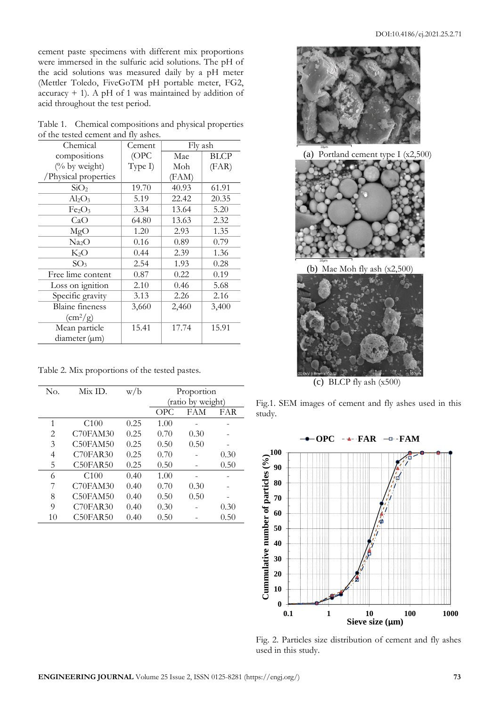cement paste specimens with different mix proportions were immersed in the sulfuric acid solutions. The pH of the acid solutions was measured daily by a pH meter (Mettler Toledo, FiveGoTM pH portable meter, FG2, accuracy  $+$  1). A pH of 1 was maintained by addition of acid throughout the test period.

| Table 1. Chemical compositions and physical properties |  |  |
|--------------------------------------------------------|--|--|
| of the tested cement and fly ashes.                    |  |  |

| Chemical                       | Cement  | Fly ash |       |
|--------------------------------|---------|---------|-------|
| compositions                   | (OPC    | Mae     | BLCP  |
| (% by weight)                  | Type I) | Moh     | (FAR) |
| /Physical properties           |         | (FAM)   |       |
| SiO <sub>2</sub>               | 19.70   | 40.93   | 61.91 |
| $\rm Al_2O_3$                  | 5.19    | 22.42   | 20.35 |
| Fe <sub>2</sub> O <sub>3</sub> | 3.34    | 13.64   | 5.20  |
| CaO                            | 64.80   | 13.63   | 2.32  |
| MgO                            | 1.20    | 2.93    | 1.35  |
| Na2O                           | 0.16    | 0.89    | 0.79  |
| $K_2O$                         | 0.44    | 2.39    | 1.36  |
| SO <sub>3</sub>                | 2.54    | 1.93    | 0.28  |
| Free lime content              | 0.87    | 0.22    | 0.19  |
| Loss on ignition               | 2.10    | 0.46    | 5.68  |
| Specific gravity               | 3.13    | 2.26    | 2.16  |
| <b>Blaine</b> fineness         | 3,660   | 2,460   | 3,400 |
| $\rm \left( cm^2/g \right)$    |         |         |       |
| Mean particle                  | 15.41   | 17.74   | 15.91 |
| diameter (um)                  |         |         |       |

Table 2. Mix proportions of the tested pastes.

| No. | Mix ID.  | w/b  | Proportion        |      |      |
|-----|----------|------|-------------------|------|------|
|     |          |      | (ratio by weight) |      |      |
|     |          |      | OPC.              | FAM  | FAR  |
| 1   | C100     | 0.25 | 1.00              |      |      |
| 2   | C70FAM30 | 0.25 | 0.70              | 0.30 |      |
| 3   | C50FAM50 | 0.25 | 0.50              | 0.50 |      |
| 4   | C70FAR30 | 0.25 | 0.70              |      | 0.30 |
| 5   | C50FAR50 | 0.25 | 0.50              |      | 0.50 |
| 6   | C100     | 0.40 | 1.00              |      |      |
| 7   | C70FAM30 | 0.40 | 0.70              | 0.30 |      |
| 8   | C50FAM50 | 0.40 | 0.50              | 0.50 |      |
| 9   | C70FAR30 | 0.40 | 0.30              |      | 0.30 |
| 10  | C50FAR50 | 0.40 | 0.50              |      | 0.50 |



(a) Portland cement type I (x2,500)



(b) Mae Moh fly ash (x2,500)



(c) BLCP fly ash (x500)

Fig.1. SEM images of cement and fly ashes used in this study.



Fig. 2. Particles size distribution of cement and fly ashes used in this study.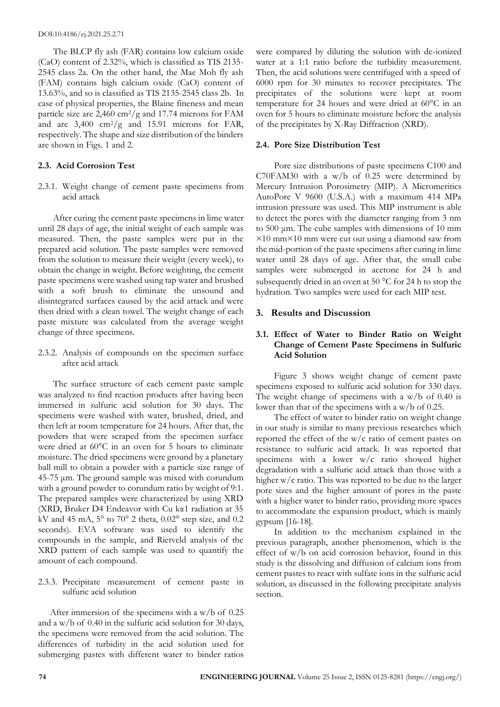The BLCP fly ash (FAR) contains low calcium oxide (CaO) content of 2.32%, which is classified as TIS 2135- 2545 class 2a. On the other hand, the Mae Moh fly ash (FAM) contains high calcium oxide (CaO) content of 13.63%, and so is classified as TIS 2135-2545 class 2b. In case of physical properties, the Blaine fineness and mean particle size are  $2,460 \text{ cm}^2/\text{g}$  and 17.74 microns for FAM and are  $3,400 \text{ cm}^2/\text{g}$  and  $15.91 \text{ microns}$  for FAR, respectively. The shape and size distribution of the binders are shown in Figs. 1 and 2.

#### **2.3. Acid Corrosion Test**

2.3.1. Weight change of cement paste specimens from acid attack

After curing the cement paste specimens in lime water until 28 days of age, the initial weight of each sample was measured. Then, the paste samples were put in the prepared acid solution. The paste samples were removed from the solution to measure their weight (every week), to obtain the change in weight. Before weighting, the cement paste specimens were washed using tap water and brushed with a soft brush to eliminate the unsound and disintegrated surfaces caused by the acid attack and were then dried with a clean towel. The weight change of each paste mixture was calculated from the average weight change of three specimens.

2.3.2. Analysis of compounds on the specimen surface after acid attack

The surface structure of each cement paste sample was analyzed to find reaction products after having been immersed in sulfuric acid solution for 30 days. The specimens were washed with water, brushed, dried, and then left at room temperature for 24 hours. After that, the powders that were scraped from the specimen surface were dried at 60°C in an oven for 5 hours to eliminate moisture. The dried specimens were ground by a planetary ball mill to obtain a powder with a particle size range of 45-75 μm. The ground sample was mixed with corundum with a ground powder to corundum ratio by weight of 9:1. The prepared samples were characterized by using XRD (XRD, Bruker D4 Endeavor with Cu kα1 radiation at 35 kV and 45 mA,  $5^{\circ}$  to 70° 2 theta, 0.02° step size, and 0.2 seconds). EVA software was used to identify the compounds in the sample, and Rietveld analysis of the XRD pattern of each sample was used to quantify the amount of each compound.

2.3.3. Precipitate measurement of cement paste in sulfuric acid solution

After immersion of the specimens with a w/b of 0.25 and a w/b of 0.40 in the sulfuric acid solution for 30 days, the specimens were removed from the acid solution. The differences of turbidity in the acid solution used for submerging pastes with different water to binder ratios were compared by diluting the solution with de-ionized water at a 1:1 ratio before the turbidity measurement. Then, the acid solutions were centrifuged with a speed of 6000 rpm for 30 minutes to recover precipitates. The precipitates of the solutions were kept at room temperature for 24 hours and were dried at 60°C in an oven for 5 hours to eliminate moisture before the analysis of the precipitates by X-Ray Diffraction (XRD).

#### **2.4. Pore Size Distribution Test**

Pore size distributions of paste specimens C100 and C70FAM30 with a w/b of 0.25 were determined by Mercury Intrusion Porosimetry (MIP). A Micromeritics AutoPore V 9600 (U.S.A.) with a maximum 414 MPa intrusion pressure was used. This MIP instrument is able to detect the pores with the diameter ranging from 3 nm to 500 μm. The cube samples with dimensions of 10 mm ×10 mm×10 mm were cut out using a diamond saw from the mid-portion of the paste specimens after curing in lime water until 28 days of age. After that, the small cube samples were submerged in acetone for 24 h and subsequently dried in an oven at 50 °C for 24 h to stop the hydration. Two samples were used for each MIP test.

#### **3. Results and Discussion**

## **3.1. Effect of Water to Binder Ratio on Weight Change of Cement Paste Specimens in Sulfuric Acid Solution**

Figure 3 shows weight change of cement paste specimens exposed to sulfuric acid solution for 330 days. The weight change of specimens with a w/b of 0.40 is lower than that of the specimens with a w/b of 0.25.

The effect of water to binder ratio on weight change in our study is similar to many previous researches which reported the effect of the w/c ratio of cement pastes on resistance to sulfuric acid attack. It was reported that specimens with a lower w/c ratio showed higher degradation with a sulfuric acid attack than those with a higher w/c ratio. This was reported to be due to the larger pore sizes and the higher amount of pores in the paste with a higher water to binder ratio, providing more spaces to accommodate the expansion product, which is mainly gypsum [16-18].

In addition to the mechanism explained in the previous paragraph, another phenomenon, which is the effect of w/b on acid corrosion behavior, found in this study is the dissolving and diffusion of calcium ions from cement pastes to react with sulfate ions in the sulfuric acid solution, as discussed in the following precipitate analysis section.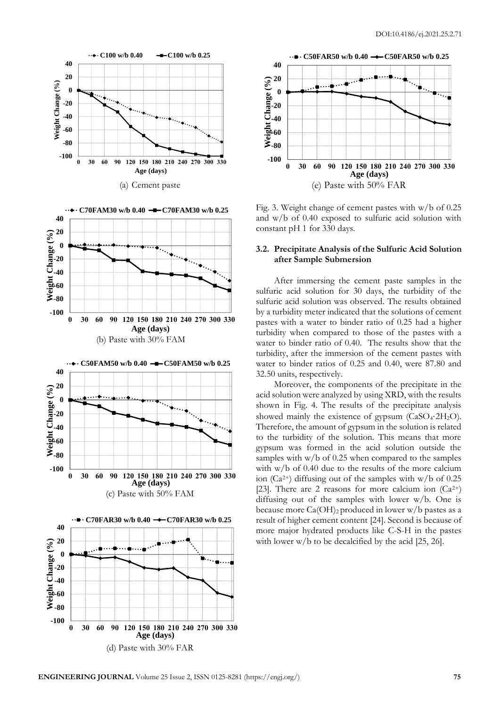









Fig. 3. Weight change of cement pastes with w/b of 0.25 and w/b of 0.40 exposed to sulfuric acid solution with constant pH 1 for 330 days.

### **3.2. Precipitate Analysis of the Sulfuric Acid Solution after Sample Submersion**

After immersing the cement paste samples in the sulfuric acid solution for 30 days, the turbidity of the sulfuric acid solution was observed. The results obtained by a turbidity meter indicated that the solutions of cement pastes with a water to binder ratio of 0.25 had a higher turbidity when compared to those of the pastes with a water to binder ratio of 0.40. The results show that the turbidity, after the immersion of the cement pastes with water to binder ratios of 0.25 and 0.40, were 87.80 and 32.50 units, respectively.

Moreover, the components of the precipitate in the acid solution were analyzed by using XRD, with the results shown in Fig. 4. The results of the precipitate analysis showed mainly the existence of gypsum (CaSO4⋅2H2O). Therefore, the amount of gypsum in the solution is related to the turbidity of the solution. This means that more gypsum was formed in the acid solution outside the samples with w/b of 0.25 when compared to the samples with w/b of 0.40 due to the results of the more calcium ion ( $Ca^{2+}$ ) diffusing out of the samples with w/b of 0.25 [23]. There are 2 reasons for more calcium ion  $(Ca^{2+})$ diffusing out of the samples with lower w/b. One is because more  $Ca(OH)_2$  produced in lower w/b pastes as a result of higher cement content [24]. Second is because of more major hydrated products like C-S-H in the pastes with lower w/b to be decalcified by the acid [25, 26].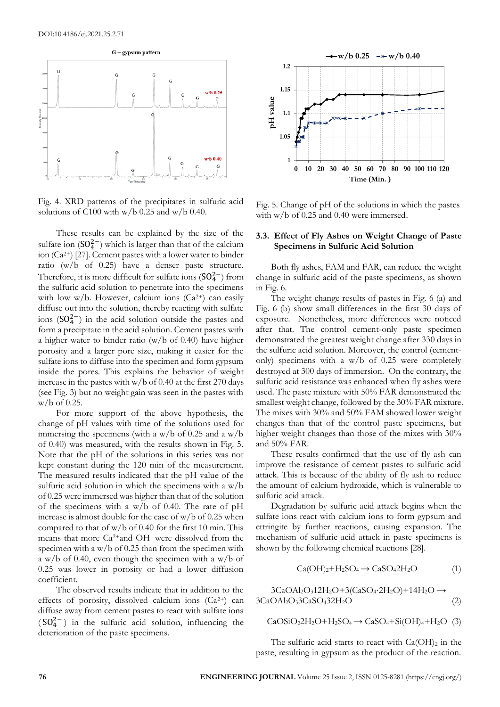

Fig. 4. XRD patterns of the precipitates in sulfuric acid solutions of C100 with  $w/b$  0.25 and  $w/b$  0.40.

These results can be explained by the size of the sulfate ion  $(SO_4^{2-})$  which is larger than that of the calcium ion (Ca2+) [27]. Cement pastes with a lower water to binder ratio (w/b of 0.25) have a denser paste structure. Therefore, it is more difficult for sulfate ions  $(SO_4^{2-})$  from the sulfuric acid solution to penetrate into the specimens with low w/b. However, calcium ions  $(Ca^{2+})$  can easily diffuse out into the solution, thereby reacting with sulfate ions  $(SO_4^{2-})$  in the acid solution outside the pastes and form a precipitate in the acid solution. Cement pastes with a higher water to binder ratio (w/b of 0.40) have higher porosity and a larger pore size, making it easier for the sulfate ions to diffuse into the specimen and form gypsum inside the pores. This explains the behavior of weight increase in the pastes with w/b of 0.40 at the first 270 days (see Fig. 3) but no weight gain was seen in the pastes with w/b of 0.25.

For more support of the above hypothesis, the change of pH values with time of the solutions used for immersing the specimens (with a w/b of 0.25 and a w/b of 0.40) was measured, with the results shown in Fig. 5. Note that the pH of the solutions in this series was not kept constant during the 120 min of the measurement. The measured results indicated that the pH value of the sulfuric acid solution in which the specimens with a w/b of 0.25 were immersed was higher than that of the solution of the specimens with a w/b of 0.40. The rate of pH increase is almost double for the case of w/b of 0.25 when compared to that of w/b of 0.40 for the first 10 min. This means that more Ca2+and OH- were dissolved from the specimen with a w/b of 0.25 than from the specimen with a w/b of 0.40, even though the specimen with a w/b of 0.25 was lower in porosity or had a lower diffusion coefficient.

The observed results indicate that in addition to the effects of porosity, dissolved calcium ions  $(Ca^{2+})$  can diffuse away from cement pastes to react with sulfate ions (SO<sup>2</sup><sup>-</sup>) in the sulfuric acid solution, influencing the deterioration of the paste specimens.



Fig. 5. Change of pH of the solutions in which the pastes with w/b of 0.25 and 0.40 were immersed.

## **3.3. Effect of Fly Ashes on Weight Change of Paste Specimens in Sulfuric Acid Solution**

Both fly ashes, FAM and FAR, can reduce the weight change in sulfuric acid of the paste specimens, as shown in Fig. 6.

The weight change results of pastes in Fig. 6 (a) and Fig. 6 (b) show small differences in the first 30 days of exposure. Nonetheless, more differences were noticed after that. The control cement-only paste specimen demonstrated the greatest weight change after 330 days in the sulfuric acid solution. Moreover, the control (cementonly) specimens with a w/b of 0.25 were completely destroyed at 300 days of immersion. On the contrary, the sulfuric acid resistance was enhanced when fly ashes were used. The paste mixture with 50% FAR demonstrated the smallest weight change, followed by the 30% FAR mixture. The mixes with 30% and 50% FAM showed lower weight changes than that of the control paste specimens, but higher weight changes than those of the mixes with 30% and 50% FAR.

These results confirmed that the use of fly ash can improve the resistance of cement pastes to sulfuric acid attack. This is because of the ability of fly ash to reduce the amount of calcium hydroxide, which is vulnerable to sulfuric acid attack.

Degradation by sulfuric acid attack begins when the sulfate ions react with calcium ions to form gypsum and ettringite by further reactions, causing expansion. The mechanism of sulfuric acid attack in paste specimens is shown by the following chemical reactions [28].

$$
Ca(OH)2+H2SO4 \rightarrow CaSO42H2O
$$
 (1)

 $3CaOAl<sub>2</sub>O<sub>3</sub>12H<sub>2</sub>O+3(CaSO<sub>4</sub>·2H<sub>2</sub>O)+14H<sub>2</sub>O \rightarrow$  $3CaOAl<sub>2</sub>O<sub>3</sub>3CaSO<sub>4</sub>32H<sub>2</sub>O$  (2)

$$
CaOSiO22H2O+H2SO4 \rightarrow CaSO4+Si(OH)4+H2O (3)
$$

The sulfuric acid starts to react with  $Ca(OH)_2$  in the paste, resulting in gypsum as the product of the reaction.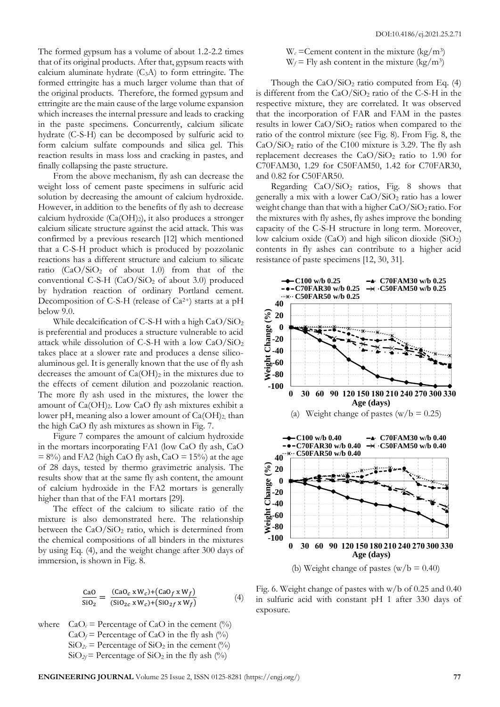The formed gypsum has a volume of about 1.2-2.2 times that of its original products. After that, gypsum reacts with calcium aluminate hydrate  $(C_3A)$  to form ettringite. The formed ettringite has a much larger volume than that of the original products. Therefore, the formed gypsum and ettringite are the main cause of the large volume expansion which increases the internal pressure and leads to cracking in the paste specimens. Concurrently, calcium silicate hydrate (C-S-H) can be decomposed by sulfuric acid to form calcium sulfate compounds and silica gel. This reaction results in mass loss and cracking in pastes, and finally collapsing the paste structure.

From the above mechanism, fly ash can decrease the weight loss of cement paste specimens in sulfuric acid solution by decreasing the amount of calcium hydroxide. However, in addition to the benefits of fly ash to decrease calcium hydroxide  $(Ca(OH)_2)$ , it also produces a stronger calcium silicate structure against the acid attack. This was confirmed by a previous research [12] which mentioned that a C-S-H product which is produced by pozzolanic reactions has a different structure and calcium to silicate ratio  $(CaO/SiO<sub>2</sub>$  of about 1.0) from that of the conventional C-S-H  $(CaO/SiO<sub>2</sub>$  of about 3.0) produced by hydration reaction of ordinary Portland cement. Decomposition of C-S-H (release of  $Ca^{2+}$ ) starts at a pH below 9.0.

While decalcification of C-S-H with a high  $CaO/SiO<sub>2</sub>$ is preferential and produces a structure vulnerable to acid attack while dissolution of C-S-H with a low CaO/SiO<sup>2</sup> takes place at a slower rate and produces a dense silicoaluminous gel. It is generally known that the use of fly ash decreases the amount of  $Ca(OH)_2$  in the mixtures due to the effects of cement dilution and pozzolanic reaction. The more fly ash used in the mixtures, the lower the amount of  $Ca(OH)_2$ . Low  $CaO$  fly ash mixtures exhibit a lower pH, meaning also a lower amount of  $Ca(OH)_2$ , than the high CaO fly ash mixtures as shown in Fig. 7.

Figure 7 compares the amount of calcium hydroxide in the mortars incorporating FA1 (low CaO fly ash, CaO  $= 8\%$ ) and FA2 (high CaO fly ash, CaO  $= 15\%$ ) at the age of 28 days, tested by thermo gravimetric analysis. The results show that at the same fly ash content, the amount of calcium hydroxide in the FA2 mortars is generally higher than that of the FA1 mortars [29].

The effect of the calcium to silicate ratio of the mixture is also demonstrated here. The relationship between the  $CaO/SiO<sub>2</sub>$  ratio, which is determined from the chemical compositions of all binders in the mixtures by using Eq. (4), and the weight change after 300 days of immersion, is shown in Fig. 8.

$$
\frac{\text{CaO}}{\text{SiO}_2} = \frac{(\text{CaO}_c \times W_c) + (\text{CaO}_f \times W_f)}{(\text{SiO}_{2c} \times W_c) + (\text{SiO}_{2f} \times W_f)} \tag{4}
$$

where  $CaO<sub>c</sub>$  = Percentage of CaO in the cement (%)  $CaO_f$  = Percentage of CaO in the fly ash  $(^{0}_{0})$  $SiO<sub>2c</sub>$  = Percentage of  $SiO<sub>2</sub>$  in the cement (%)  $SiO<sub>2f</sub>$  = Percentage of  $SiO<sub>2</sub>$  in the fly ash (%)

 $W_c$  = Cement content in the mixture (kg/m<sup>3</sup>)  $W_f$  = Fly ash content in the mixture (kg/m<sup>3</sup>)

Though the  $CaO/SiO<sub>2</sub>$  ratio computed from Eq. (4) is different from the  $CaO/SiO<sub>2</sub>$  ratio of the C-S-H in the respective mixture, they are correlated. It was observed that the incorporation of FAR and FAM in the pastes results in lower CaO/SiO<sup>2</sup> ratios when compared to the ratio of the control mixture (see Fig. 8). From Fig. 8, the  $CaO/SiO<sub>2</sub>$  ratio of the C100 mixture is 3.29. The fly ash replacement decreases the  $CaO/SiO<sub>2</sub>$  ratio to 1.90 for C70FAM30, 1.29 for C50FAM50, 1.42 for C70FAR30, and 0.82 for C50FAR50.

Regarding CaO/SiO2 ratios, Fig. 8 shows that generally a mix with a lower CaO/SiO<sup>2</sup> ratio has a lower weight change than that with a higher  $CaO/SiO<sub>2</sub>$  ratio. For the mixtures with fly ashes, fly ashes improve the bonding capacity of the C-S-H structure in long term. Moreover, low calcium oxide (CaO) and high silicon dioxide (SiO2) contents in fly ashes can contribute to a higher acid resistance of paste specimens [12, 30, 31].



Fig. 6. Weight change of pastes with w/b of 0.25 and 0.40 in sulfuric acid with constant pH 1 after 330 days of exposure.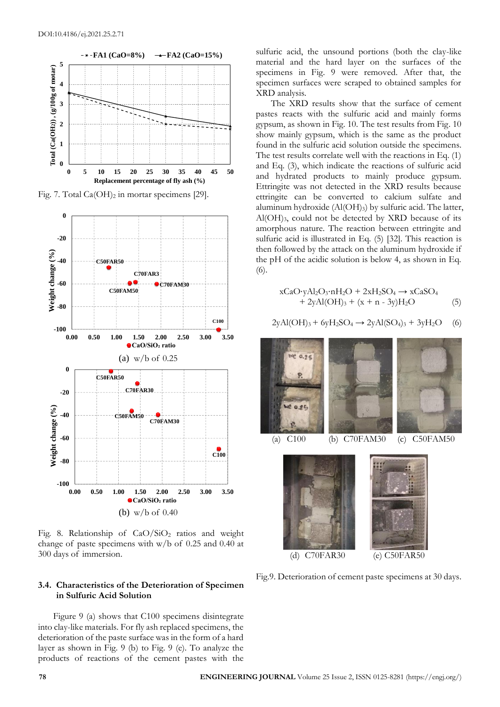

Fig. 7. Total Ca(OH)<sub>2</sub> in mortar specimens [29].



Fig. 8. Relationship of  $CaO/SiO<sub>2</sub>$  ratios and weight change of paste specimens with  $w/b$  of 0.25 and 0.40 at 300 days of immersion.

# **3.4. Characteristics of the Deterioration of Specimen in Sulfuric Acid Solution**

Figure 9 (a) shows that C100 specimens disintegrate into clay-like materials. For fly ash replaced specimens, the deterioration of the paste surface was in the form of a hard layer as shown in Fig. 9 (b) to Fig. 9 (e). To analyze the products of reactions of the cement pastes with the

sulfuric acid, the unsound portions (both the clay-like material and the hard layer on the surfaces of the specimens in Fig. 9 were removed. After that, the specimen surfaces were scraped to obtained samples for XRD analysis.

The XRD results show that the surface of cement pastes reacts with the sulfuric acid and mainly forms gypsum, as shown in Fig. 10. The test results from Fig. 10 show mainly gypsum, which is the same as the product found in the sulfuric acid solution outside the specimens. The test results correlate well with the reactions in Eq. (1) and Eq. (3), which indicate the reactions of sulfuric acid and hydrated products to mainly produce gypsum. Ettringite was not detected in the XRD results because ettringite can be converted to calcium sulfate and aluminum hydroxide  $(AI(OH<sub>3</sub>)$  by sulfuric acid. The latter,  $Al(OH)_{3}$ , could not be detected by XRD because of its amorphous nature. The reaction between ettringite and sulfuric acid is illustrated in Eq. (5) [32]. This reaction is then followed by the attack on the aluminum hydroxide if the pH of the acidic solution is below 4, as shown in Eq. (6).

$$
xCaO·yAl2O3·nH2O + 2xH2SO4 \rightarrow xCaSO4+ 2yAl(OH)3 + (x + n - 3y)H2O
$$
 (5)

$$
2yAl(OH)3 + 6yH2SO4 \rightarrow 2yAl(SO4)3 + 3yH2O
$$
 (6)





(d) C70FAR30 (e) C50FAR50

Fig.9. Deterioration of cement paste specimens at 30 days.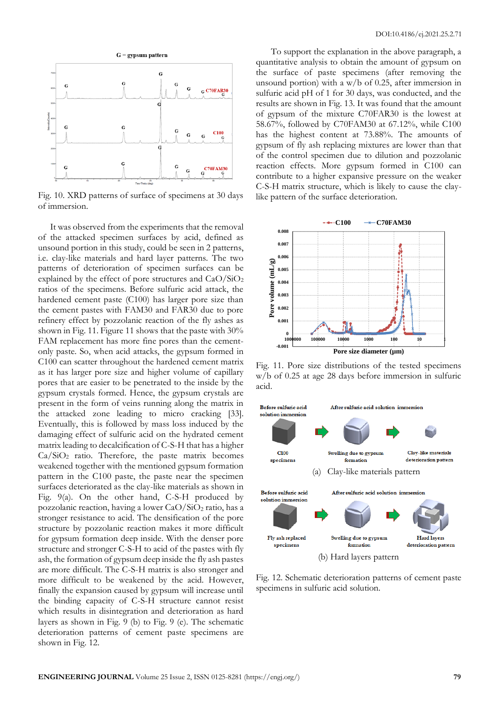

Fig. 10. XRD patterns of surface of specimens at 30 days of immersion.

It was observed from the experiments that the removal of the attacked specimen surfaces by acid, defined as unsound portion in this study, could be seen in 2 patterns, i.e. clay-like materials and hard layer patterns. The two patterns of deterioration of specimen surfaces can be explained by the effect of pore structures and CaO/SiO<sup>2</sup> ratios of the specimens. Before sulfuric acid attack, the hardened cement paste (C100) has larger pore size than the cement pastes with FAM30 and FAR30 due to pore refinery effect by pozzolanic reaction of the fly ashes as shown in Fig. 11. Figure 11 shows that the paste with 30% FAM replacement has more fine pores than the cementonly paste. So, when acid attacks, the gypsum formed in C100 can scatter throughout the hardened cement matrix as it has larger pore size and higher volume of capillary pores that are easier to be penetrated to the inside by the gypsum crystals formed. Hence, the gypsum crystals are present in the form of veins running along the matrix in the attacked zone leading to micro cracking [33]. Eventually, this is followed by mass loss induced by the damaging effect of sulfuric acid on the hydrated cement matrix leading to decalcification of C-S-H that has a higher  $Ca/SiO<sub>2</sub>$  ratio. Therefore, the paste matrix becomes weakened together with the mentioned gypsum formation pattern in the C100 paste, the paste near the specimen surfaces deteriorated as the clay-like materials as shown in Fig. 9(a). On the other hand, C-S-H produced by pozzolanic reaction, having a lower CaO/SiO<sup>2</sup> ratio, has a stronger resistance to acid. The densification of the pore structure by pozzolanic reaction makes it more difficult for gypsum formation deep inside. With the denser pore structure and stronger C-S-H to acid of the pastes with fly ash, the formation of gypsum deep inside the fly ash pastes are more difficult. The C-S-H matrix is also stronger and more difficult to be weakened by the acid. However, finally the expansion caused by gypsum will increase until the binding capacity of C-S-H structure cannot resist which results in disintegration and deterioration as hard layers as shown in Fig. 9 (b) to Fig. 9 (e). The schematic deterioration patterns of cement paste specimens are shown in Fig. 12.

To support the explanation in the above paragraph, a quantitative analysis to obtain the amount of gypsum on the surface of paste specimens (after removing the unsound portion) with a w/b of 0.25, after immersion in sulfuric acid pH of 1 for 30 days, was conducted, and the results are shown in Fig. 13. It was found that the amount of gypsum of the mixture C70FAR30 is the lowest at 58.67%, followed by C70FAM30 at 67.12%, while C100 has the highest content at 73.88%. The amounts of gypsum of fly ash replacing mixtures are lower than that of the control specimen due to dilution and pozzolanic reaction effects. More gypsum formed in C100 can contribute to a higher expansive pressure on the weaker C-S-H matrix structure, which is likely to cause the claylike pattern of the surface deterioration.



Fig. 11. Pore size distributions of the tested specimens w/b of 0.25 at age 28 days before immersion in sulfuric acid.



Fig. 12. Schematic deterioration patterns of cement paste specimens in sulfuric acid solution.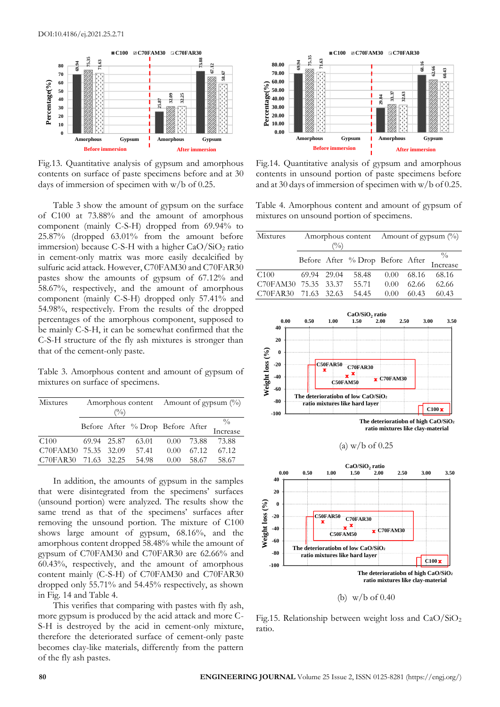

Fig.13. Quantitative analysis of gypsum and amorphous contents on surface of paste specimens before and at 30 days of immersion of specimen with w/b of 0.25.

Table 3 show the amount of gypsum on the surface of C100 at 73.88% and the amount of amorphous component (mainly C-S-H) dropped from 69.94% to 25.87% (dropped 63.01% from the amount before immersion) because C-S-H with a higher  $CaO/SiO<sub>2</sub>$  ratio in cement-only matrix was more easily decalcified by sulfuric acid attack. However, C70FAM30 and C70FAR30 pastes show the amounts of gypsum of 67.12% and 58.67%, respectively, and the amount of amorphous component (mainly C-S-H) dropped only 57.41% and 54.98%, respectively. From the results of the dropped percentages of the amorphous component, supposed to be mainly C-S-H, it can be somewhat confirmed that the C-S-H structure of the fly ash mixtures is stronger than that of the cement-only paste.

Table 3. Amorphous content and amount of gypsum of mixtures on surface of specimens.

| Mixtures             | $\binom{0}{0}$ |  | Amorphous content Amount of gypsum $(\%)$ |      |       |               |
|----------------------|----------------|--|-------------------------------------------|------|-------|---------------|
|                      |                |  |                                           |      |       | $\frac{0}{0}$ |
|                      |                |  | Before After $\%$ Drop Before After       |      |       | Increase      |
| C100                 | 69.94 25.87    |  | 63.01                                     | 0.00 | 73.88 | 73.88         |
| C70FAM30 75.35 32.09 |                |  | 57.41                                     | 0.00 | 67.12 | 67.12         |
| C70FAR30 71.63 32.25 |                |  | 54.98                                     | 0.00 | 58.67 | 58.67         |

In addition, the amounts of gypsum in the samples that were disintegrated from the specimens' surfaces (unsound portion) were analyzed. The results show the same trend as that of the specimens' surfaces after removing the unsound portion. The mixture of C100 shows large amount of gypsum, 68.16%, and the amorphous content dropped 58.48% while the amount of gypsum of C70FAM30 and C70FAR30 are 62.66% and 60.43%, respectively, and the amount of amorphous content mainly (C-S-H) of C70FAM30 and C70FAR30 dropped only 55.71% and 54.45% respectively, as shown in Fig. 14 and Table 4.

This verifies that comparing with pastes with fly ash, more gypsum is produced by the acid attack and more C-S-H is destroyed by the acid in cement-only mixture, therefore the deteriorated surface of cement-only paste becomes clay-like materials, differently from the pattern of the fly ash pastes.



Fig.14. Quantitative analysis of gypsum and amorphous contents in unsound portion of paste specimens before and at 30 days of immersion of specimen with w/b of 0.25.

Table 4. Amorphous content and amount of gypsum of mixtures on unsound portion of specimens.

| Mixtures             |                |  |       | Amorphous content Amount of gypsum $\binom{0}{0}$ |       |                                           |
|----------------------|----------------|--|-------|---------------------------------------------------|-------|-------------------------------------------|
|                      | $\binom{0}{0}$ |  |       |                                                   |       |                                           |
|                      |                |  |       |                                                   |       | Before After % Drop Before After Increase |
|                      |                |  |       |                                                   |       |                                           |
| C100                 | 69.94 29.04    |  | 58.48 | 0.00                                              | 68.16 | -68.16                                    |
| C70FAM30 75.35 33.37 |                |  | 55.71 | 0.00                                              | 62.66 | 62.66                                     |
| C70FAR30 71.63 32.63 |                |  | 54.45 | 0.00                                              | 60.43 | 60.43                                     |





Fig.15. Relationship between weight loss and  $CaO/SiO<sub>2</sub>$ ratio.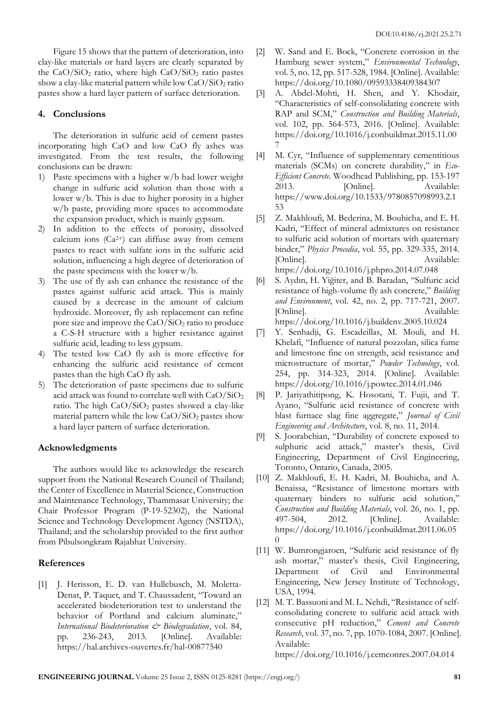Figure 15 shows that the pattern of deterioration, into clay-like materials or hard layers are clearly separated by the  $CaO/SiO<sub>2</sub>$  ratio, where high  $CaO/SiO<sub>2</sub>$  ratio pastes show a clay-like material pattern while low  $CaO/SiO<sub>2</sub>$  ratio pastes show a hard layer pattern of surface deterioration.

# **4. Conclusions**

The deterioration in sulfuric acid of cement pastes incorporating high CaO and low CaO fly ashes was investigated. From the test results, the following conclusions can be drawn:

- 1) Paste specimens with a higher w/b had lower weight change in sulfuric acid solution than those with a lower w/b. This is due to higher porosity in a higher w/b paste, providing more spaces to accommodate the expansion product, which is mainly gypsum.
- 2) In addition to the effects of porosity, dissolved calcium ions  $(Ca^{2+})$  can diffuse away from cement pastes to react with sulfate ions in the sulfuric acid solution, influencing a high degree of deterioration of the paste specimens with the lower w/b.
- 3) The use of fly ash can enhance the resistance of the pastes against sulfuric acid attack. This is mainly caused by a decrease in the amount of calcium hydroxide. Moreover, fly ash replacement can refine pore size and improve the  $CaO/SiO<sub>2</sub>$  ratio to produce a C-S-H structure with a higher resistance against sulfuric acid, leading to less gypsum.
- 4) The tested low CaO fly ash is more effective for enhancing the sulfuric acid resistance of cement pastes than the high CaO fly ash.
- 5) The deterioration of paste specimens due to sulfuric acid attack was found to correlate well with  $CaO/SiO<sub>2</sub>$ ratio. The high  $CaO/SiO<sub>2</sub>$  pastes showed a clay-like material pattern while the low  $CaO/SiO<sub>2</sub>$  pastes show a hard layer pattern of surface deterioration.

# **Acknowledgments**

The authors would like to acknowledge the research support from the National Research Council of Thailand; the Center of Excellence in Material Science, Construction and Maintenance Technology, Thammasat University; the Chair Professor Program (P-19-52302), the National Science and Technology Development Agency (NSTDA), Thailand; and the scholarship provided to the first author from Pibulsongkram Rajabhat University.

# **References**

[1] J. Herisson, E. D. van Hullebusch, M. Moletta-Denat, P. Taquet, and T. Chaussadent, "Toward an accelerated biodeterioration test to understand the behavior of Portland and calcium aluminate," *International Biodeterioration & Biodegradation*, vol. 84, pp. 236-243, 2013. [Online]. Available: https://hal.archives-ouvertes.fr/hal-00877540

- [2] W. Sand and E. Bock, "Concrete corrosion in the Hamburg sewer system," *Environmental Technology*, vol. 5, no. 12, pp. 517-528, 1984. [Online]. Available: https://doi.org/10.1080/09593338409384307
- [3] A. Abdel-Mohti, H. Shen, and Y. Khodair, "Characteristics of self-consolidating concrete with RAP and SCM," *Construction and Building Materials*, vol. 102, pp. 564-573, 2016. [Online]. Available: https://doi.org/10.1016/j.conbuildmat.2015.11.00 7
- [4] M. Cyr, "Influence of supplementary cementitious materials (SCMs) on concrete durability," in *Eco-Efficient Concrete*. Woodhead Publishing, pp. 153-197 2013. [Online]. Available: https://www.doi.org/10.1533/9780857098993.2.1 53
- [5] Z. Makhloufi, M. Bederina, M. Bouhicha, and E. H. Kadri, "Effect of mineral admixtures on resistance to sulfuric acid solution of mortars with quaternary binder," *Physics Procedia*, vol. 55, pp. 329-335, 2014. [Online]. Available: https://doi.org/10.1016/j.phpro.2014.07.048
- [6] S. Aydın, H. Yiğiter, and B. Baradan, "Sulfuric acid resistance of high-volume fly ash concrete," *Building and Environment*, vol. 42, no. 2, pp. 717-721, 2007. [Online]. Available: https://doi.org/10.1016/j.buildenv.2005.10.024
- [7] Y. Senhadji, G. Escadeillas, M. Mouli, and H. Khelafi, "Influence of natural pozzolan, silica fume and limestone fine on strength, acid resistance and microstructure of mortar," *Powder Technology*, vol. 254, pp. 314-323, 2014. [Online]. Available: https://doi.org/10.1016/j.powtec.2014.01.046
- [8] P. Jariyathitipong, K. Hosotani, T. Fujii, and T. Ayano, "Sulfuric acid resistance of concrete with blast furnace slag fine aggregate," *Journal of Civil Engineering and Architecture*, vol. 8, no. 11, 2014.
- [9] S. Joorabchian, "Durability of concrete exposed to sulphuric acid attack," master's thesis, Civil Engineering, Department of Civil Engineering, Toronto, Ontario, Canada, 2005.
- [10] Z. Makhloufi, E. H. Kadri, M. Bouhicha, and A. Benaissa, "Resistance of limestone mortars with quaternary binders to sulfuric acid solution," *Construction and Building Materials*, vol. 26, no. 1, pp. 497-504, 2012. [Online]. Available: https://doi.org/10.1016/j.conbuildmat.2011.06.05 0
- [11] W. Bumrongjaroen, "Sulfuric acid resistance of fly ash mortar," master's thesis, Civil Engineering, Department of Civil and Environmental Engineering, New Jersey Institute of Technology, USA, 1994.
- [12] M. T. Bassuoni and M. L. Nehdi, "Resistance of selfconsolidating concrete to sulfuric acid attack with consecutive pH reduction," *Cement and Concrete Research*, vol. 37, no. 7, pp. 1070-1084, 2007. [Online]. Available:

https://doi.org/10.1016/j.cemconres.2007.04.014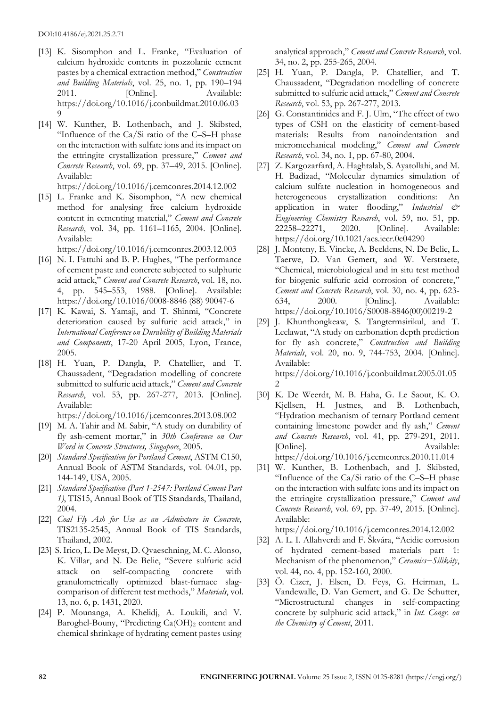- [13] K. Sisomphon and L. Franke, "Evaluation of calcium hydroxide contents in pozzolanic cement pastes by a chemical extraction method," *Construction and Building Materials*, vol. 25, no. 1, pp. 190–194 2011. [Online]. Available: https://doi.org/10.1016/j.conbuildmat.2010.06.03 9
- [14] W. Kunther, B. Lothenbach, and J. Skibsted, "Influence of the Ca/Si ratio of the C–S–H phase on the interaction with sulfate ions and its impact on the ettringite crystallization pressure," *Cement and Concrete Research*, vol. 69, pp. 37–49, 2015. [Online]. Available:

https://doi.org/10.1016/j.cemconres.2014.12.002

[15] L. Franke and K. Sisomphon, "A new chemical method for analysing free calcium hydroxide content in cementing material," *Cement and Concrete Research*, vol. 34, pp. 1161–1165, 2004. [Online]. Available:

https://doi.org/10.1016/j.cemconres.2003.12.003

- [16] N. I. Fattuhi and B. P. Hughes, "The performance" of cement paste and concrete subjected to sulphuric acid attack," *Cement and Concrete Research*, vol. 18, no. 4, pp. 545–553, 1988. [Online]. Available: https://doi.org/10.1016/0008-8846 (88) 90047-6
- [17] K. Kawai, S. Yamaji, and T. Shinmi, "Concrete deterioration caused by sulfuric acid attack," in *International Conference on Durability of Building Materials and Components*, 17-20 April 2005, Lyon, France, 2005.
- [18] H. Yuan, P. Dangla, P. Chatellier, and T. Chaussadent, "Degradation modelling of concrete submitted to sulfuric acid attack," *Cement and Concrete Research*, vol. 53, pp. 267-277, 2013. [Online]. Available:

https://doi.org/10.1016/j.cemconres.2013.08.002

- [19] M. A. Tahir and M. Sabir, "A study on durability of fly ash-cement mortar," in *30th Conference on Our Word in Concrete Structures, Singapore*, 2005.
- [20] *Standard Specification for Portland Cement*, ASTM C150, Annual Book of ASTM Standards, vol. 04.01, pp. 144-149, USA, 2005.
- [21] *Standard Specification (Part 1-2547: Portland Cement Part 1)*, TIS15, Annual Book of TIS Standards, Thailand, 2004.
- [22] *Coal Fly Ash for Use as an Admixture in Concrete*, TIS2135-2545, Annual Book of TIS Standards, Thailand, 2002.
- [23] S. Irico, L. De Meyst, D. Qvaeschning, M. C. Alonso, K. Villar, and N. De Belie, "Severe sulfuric acid attack on self-compacting concrete with granulometrically optimized blast-furnace slagcomparison of different test methods," *Materials*, vol. 13, no. 6, p. 1431, 2020.
- [24] P. Mounanga, A. Khelidj, A. Loukili, and V. Baroghel-Bouny, "Predicting Ca(OH)<sub>2</sub> content and chemical shrinkage of hydrating cement pastes using

analytical approach," *Cement and Concrete Research*, vol. 34, no. 2, pp. 255-265, 2004.

- [25] H. Yuan, P. Dangla, P. Chatellier, and T. Chaussadent, "Degradation modelling of concrete submitted to sulfuric acid attack," *Cement and Concrete Research*, vol. 53, pp. 267-277, 2013.
- [26] G. Constantinides and F. J. Ulm, "The effect of two types of CSH on the elasticity of cement-based materials: Results from nanoindentation and micromechanical modeling," *Cement and Concrete Research*, vol. 34, no. 1, pp. 67-80, 2004.
- [27] Z. Kargozarfard, A. Haghtalab, S. Ayatollahi, and M. H. Badizad, "Molecular dynamics simulation of calcium sulfate nucleation in homogeneous and heterogeneous crystallization conditions: An application in water flooding," *Industrial & Engineering Chemistry Research*, vol. 59, no. 51, pp. 22258–22271, 2020. [Online]. Available: https://doi.org/10.1021/acs.iecr.0c04290
- [28] J. Monteny, E. Vincke, A. Beeldens, N. De Belie, L. Taerwe, D. Van Gemert, and W. Verstraete, "Chemical, microbiological and in situ test method for biogenic sulfuric acid corrosion of concrete," *Cement and Concrete Research*, vol. 30, no. 4, pp. 623- 634, 2000. [Online]. Available: https://doi.org/10.1016/S0008-8846(00)00219-2
- [29] J. Khunthongkeaw, S. Tangtermsirikul, and T. Leelawat, "A study on carbonation depth prediction for fly ash concrete," *Construction and Building Materials*, vol. 20, no. 9, 744-753, 2004. [Online]. Available: https://doi.org/10.1016/j.conbuildmat.2005.01.05  $\mathcal{D}$
- [30] K. De Weerdt, M. B. Haha, G. Le Saout, K. O. Kjellsen, H. Justnes, and B. Lothenbach, "Hydration mechanism of ternary Portland cement containing limestone powder and fly ash," *Cement and Concrete Research*, vol. 41, pp. 279-291, 2011. [Online]. Available: https://doi.org/10.1016/j.cemconres.2010.11.014
- [31] W. Kunther, B. Lothenbach, and J. Skibsted, "Influence of the Ca/Si ratio of the C–S–H phase on the interaction with sulfate ions and its impact on the ettringite crystallization pressure," *Cement and Concrete Research*, vol. 69, pp. 37-49, 2015. [Online]. Available:

https://doi.org/10.1016/j.cemconres.2014.12.002

- [32] A. L. I. Allahverdi and F. Škvára, "Acidic corrosion of hydrated cement-based materials part 1: Mechanism of the phenomenon," *Ceramics−Silikáty*, vol. 44, no. 4, pp. 152-160, 2000.
- [33] Ö. Cizer, J. Elsen, D. Feys, G. Heirman, L. Vandewalle, D. Van Gemert, and G. De Schutter, "Microstructural changes in self-compacting concrete by sulphuric acid attack," in *Int. Congr. on the Chemistry of Cement*, 2011.